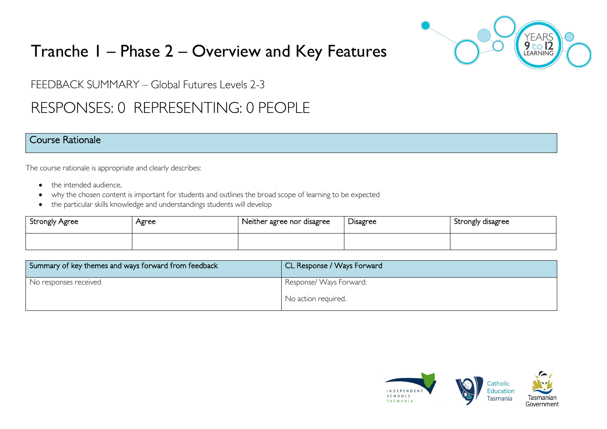

# Tranche 1 – Phase 2 – Overview and Key Features

FEEDBACK SUMMARY – Global Futures Levels 2-3

## RESPONSES: 0 REPRESENTING: 0 PEOPLE

### Course Rationale

The course rationale is appropriate and clearly describes:

- the intended audience.
- why the chosen content is important for students and outlines the broad scope of learning to be expected
- the particular skills knowledge and understandings students will develop

| Strongly Agree | Agree | Neither agree nor disagree | Disagree | Strongly disagree |
|----------------|-------|----------------------------|----------|-------------------|
|                |       |                            |          |                   |

| Summary of key themes and ways forward from feedback | CL Response / Ways Forward |
|------------------------------------------------------|----------------------------|
| No responses received                                | Response/Ways Forward:     |
|                                                      | No action required.        |

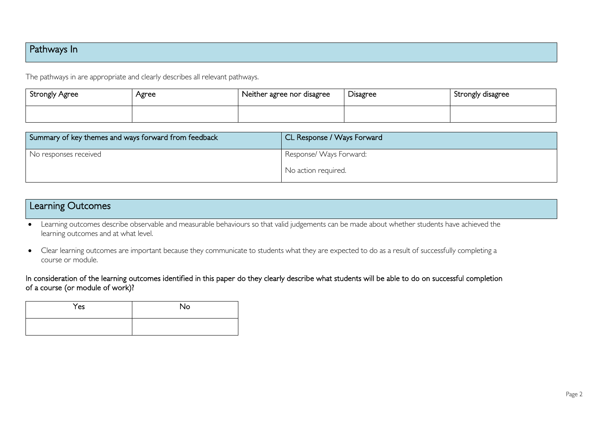### Pathways In

The pathways in are appropriate and clearly describes all relevant pathways.

| Strongly Agree | Agree | Neither agree nor disagree | r.<br>Disagree | Strongly disagree |
|----------------|-------|----------------------------|----------------|-------------------|
|                |       |                            |                |                   |

| Summary of key themes and ways forward from feedback | CL Response / Ways Forward |
|------------------------------------------------------|----------------------------|
| No responses received                                | Response/ Ways Forward:    |
|                                                      | No action required.        |

# Learning Outcomes

• Learning outcomes describe observable and measurable behaviours so that valid judgements can be made about whether students have achieved the learning outcomes and at what level.

• Clear learning outcomes are important because they communicate to students what they are expected to do as a result of successfully completing a course or module.

In consideration of the learning outcomes identified in this paper do they clearly describe what students will be able to do on successful completion of a course (or module of work)?

| Yes | No |
|-----|----|
|     |    |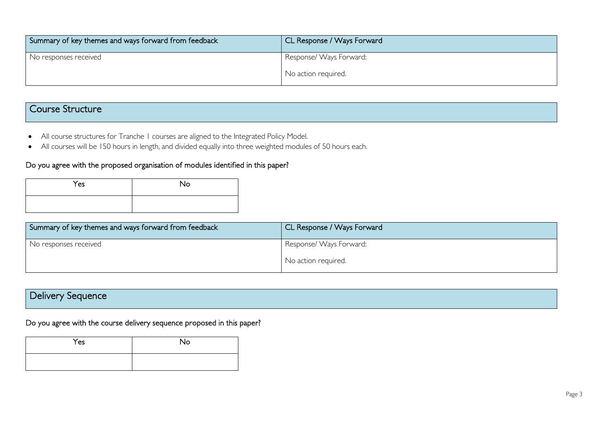| Summary of key themes and ways forward from feedback | CL Response / Ways Forward |
|------------------------------------------------------|----------------------------|
| No responses received                                | Response/ Ways Forward:    |
|                                                      | No action required.        |

### Course Structure

- All course structures for Tranche 1 courses are aligned to the Integrated Policy Model.
- All courses will be 150 hours in length, and divided equally into three weighted modules of 50 hours each.

#### Do you agree with the proposed organisation of modules identified in this paper?

| Yes | No |
|-----|----|
|     |    |

| Summary of key themes and ways forward from feedback | CL Response / Ways Forward |
|------------------------------------------------------|----------------------------|
| No responses received                                | Response/Ways Forward:     |
|                                                      | No action required.        |

## Delivery Sequence

### Do you agree with the course delivery sequence proposed in this paper?

| Yes | <b>No</b> |
|-----|-----------|
|     |           |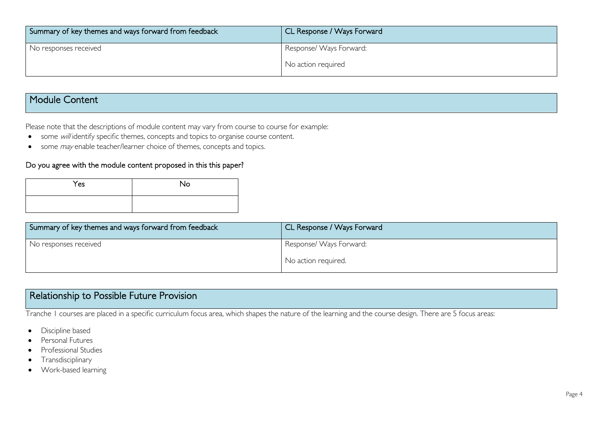| Summary of key themes and ways forward from feedback | CL Response / Ways Forward |
|------------------------------------------------------|----------------------------|
| No responses received                                | Response/ Ways Forward:    |
|                                                      | No action required         |

### Module Content

Please note that the descriptions of module content may vary from course to course for example:

- some will identify specific themes, concepts and topics to organise course content.
- some *may* enable teacher/learner choice of themes, concepts and topics.

#### Do you agree with the module content proposed in this this paper?

| Yes | No |
|-----|----|
|     |    |

| Summary of key themes and ways forward from feedback | CL Response / Ways Forward |
|------------------------------------------------------|----------------------------|
| No responses received                                | Response/ Ways Forward:    |
|                                                      | No action required.        |

## Relationship to Possible Future Provision

Tranche 1 courses are placed in a specific curriculum focus area, which shapes the nature of the learning and the course design. There are 5 focus areas:

- Discipline based
- Personal Futures
- Professional Studies
- Transdisciplinary
- Work-based learning